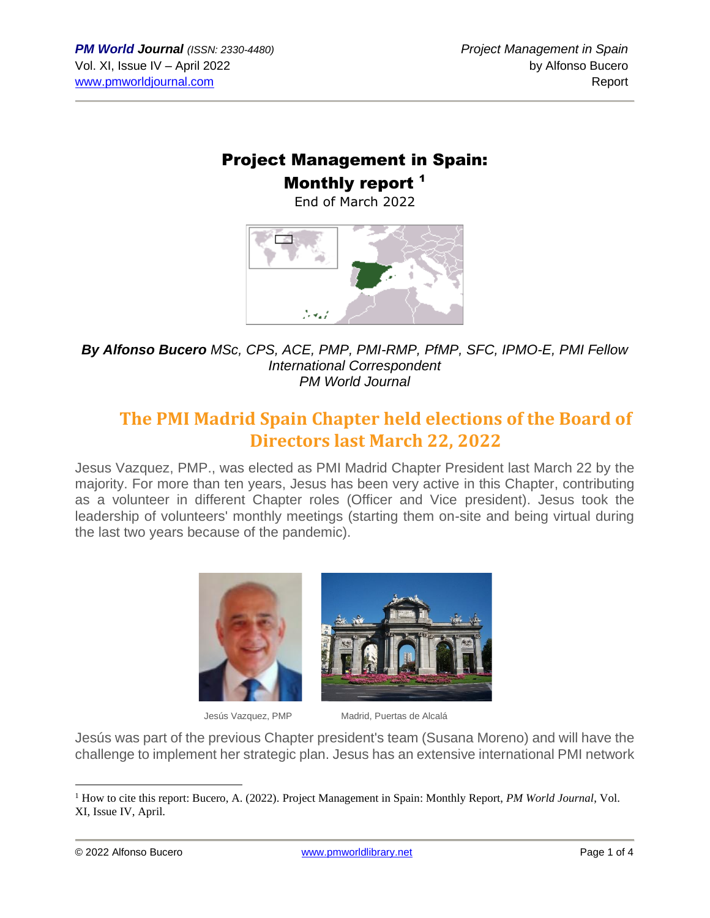## Project Management in Spain: Monthly report<sup>1</sup>

End of March 2022



*By Alfonso Bucero MSc, CPS, ACE, PMP, PMI-RMP, PfMP, SFC, IPMO-E, PMI Fellow International Correspondent PM World Journal*

# **The PMI Madrid Spain Chapter held elections of the Board of Directors last March 22, 2022**

Jesus Vazquez, PMP., was elected as PMI Madrid Chapter President last March 22 by the majority. For more than ten years, Jesus has been very active in this Chapter, contributing as a volunteer in different Chapter roles (Officer and Vice president). Jesus took the leadership of volunteers' monthly meetings (starting them on-site and being virtual during the last two years because of the pandemic).





Jesús Vazquez, PMP Madrid, Puertas de Alcalá

Jesús was part of the previous Chapter president's team (Susana Moreno) and will have the challenge to implement her strategic plan. Jesus has an extensive international PMI network

<sup>1</sup> How to cite this report: Bucero, A. (2022). Project Management in Spain: Monthly Report, *PM World Journal*, Vol. XI, Issue IV, April.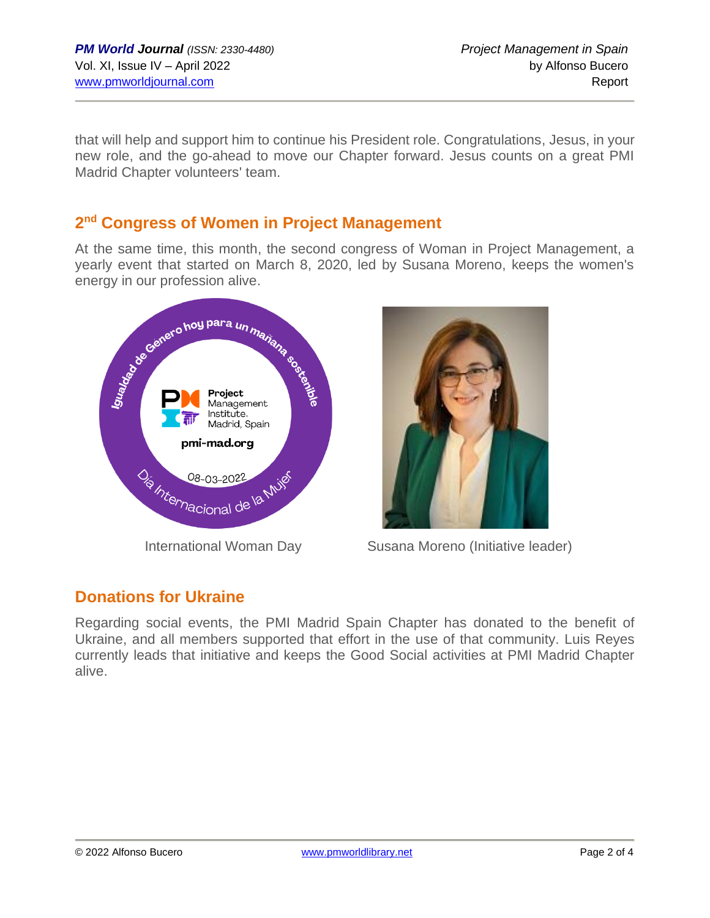that will help and support him to continue his President role. Congratulations, Jesus, in your new role, and the go-ahead to move our Chapter forward. Jesus counts on a great PMI Madrid Chapter volunteers' team.

#### **2 nd Congress of Women in Project Management**

At the same time, this month, the second congress of Woman in Project Management, a yearly event that started on March 8, 2020, led by Susana Moreno, keeps the women's energy in our profession alive.





International Woman Day Susana Moreno (Initiative leader)

### **Donations for Ukraine**

Regarding social events, the PMI Madrid Spain Chapter has donated to the benefit of Ukraine, and all members supported that effort in the use of that community. Luis Reyes currently leads that initiative and keeps the Good Social activities at PMI Madrid Chapter alive.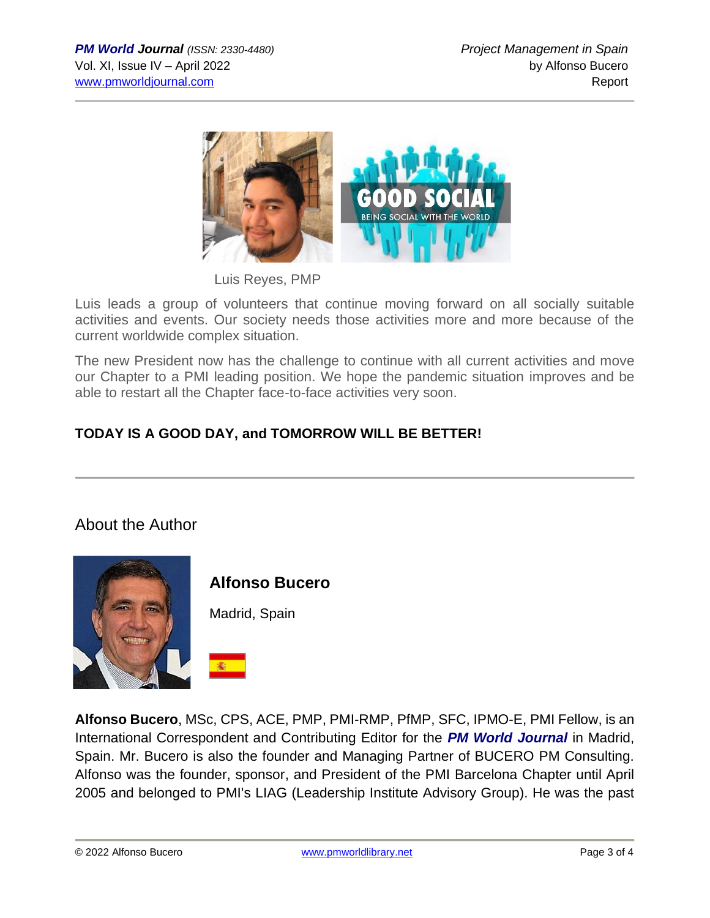

Luis Reyes, PMP

Luis leads a group of volunteers that continue moving forward on all socially suitable activities and events. Our society needs those activities more and more because of the current worldwide complex situation.

The new President now has the challenge to continue with all current activities and move our Chapter to a PMI leading position. We hope the pandemic situation improves and be able to restart all the Chapter face-to-face activities very soon.

### **TODAY IS A GOOD DAY, and TOMORROW WILL BE BETTER!**

#### About the Author



**Alfonso Bucero**

Madrid, Spain

**Alfonso Bucero**, MSc, CPS, ACE, PMP, PMI-RMP, PfMP, SFC, IPMO-E, PMI Fellow, is an International Correspondent and Contributing Editor for the *PM World Journal* in Madrid, Spain. Mr. Bucero is also the founder and Managing Partner of BUCERO PM Consulting. Alfonso was the founder, sponsor, and President of the PMI Barcelona Chapter until April 2005 and belonged to PMI's LIAG (Leadership Institute Advisory Group). He was the past